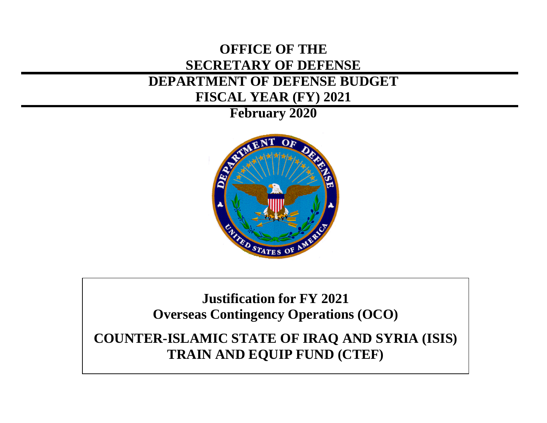# **OFFICE OF THE SECRETARY OF DEFENSE DEPARTMENT OF DEFENSE BUDGET FISCAL YEAR (FY) 2021**

**February 2020**



# **Justification for FY 2021 Overseas Contingency Operations (OCO)**

# **COUNTER-ISLAMIC STATE OF IRAQ AND SYRIA (ISIS) TRAIN AND EQUIP FUND (CTEF)**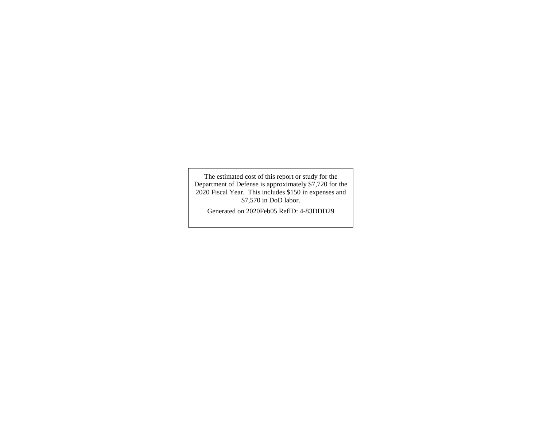The estimated cost of this report or study for the Department of Defense is approximately \$7,720 for the 2020 Fiscal Year. This includes \$150 in expenses and \$7,570 in DoD labor.

Generated on 2020Feb05 RefID: 4-83DDD29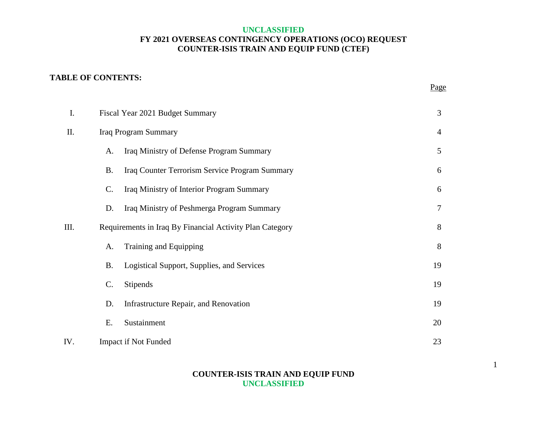# **TABLE OF CONTENTS:**

| I.   |                 | Fiscal Year 2021 Budget Summary                          | 3              |
|------|-----------------|----------------------------------------------------------|----------------|
| Π.   |                 | <b>Iraq Program Summary</b>                              | $\overline{4}$ |
|      | A.              | Iraq Ministry of Defense Program Summary                 | 5              |
|      | <b>B.</b>       | Iraq Counter Terrorism Service Program Summary           | 6              |
|      | $\mathcal{C}$ . | Iraq Ministry of Interior Program Summary                | 6              |
|      | D.              | Iraq Ministry of Peshmerga Program Summary               | $\tau$         |
| III. |                 | Requirements in Iraq By Financial Activity Plan Category | 8              |
|      | A.              | Training and Equipping                                   | 8              |
|      | <b>B.</b>       | Logistical Support, Supplies, and Services               | 19             |
|      | C.              | <b>Stipends</b>                                          | 19             |
|      | D.              | Infrastructure Repair, and Renovation                    | 19             |
|      | Ε.              | Sustainment                                              | 20             |
| IV.  |                 | <b>Impact if Not Funded</b>                              | 23             |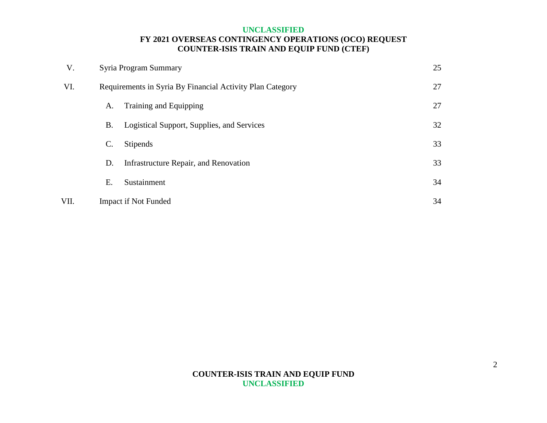| V.   |                | Syria Program Summary                                     | 25 |
|------|----------------|-----------------------------------------------------------|----|
| VI.  |                | Requirements in Syria By Financial Activity Plan Category | 27 |
|      | A.             | Training and Equipping                                    | 27 |
|      | <b>B.</b>      | Logistical Support, Supplies, and Services                | 32 |
|      | $\mathbf{C}$ . | <b>Stipends</b>                                           | 33 |
|      | D.             | Infrastructure Repair, and Renovation                     | 33 |
|      | Ε.             | Sustainment                                               | 34 |
| VII. |                | <b>Impact if Not Funded</b>                               | 34 |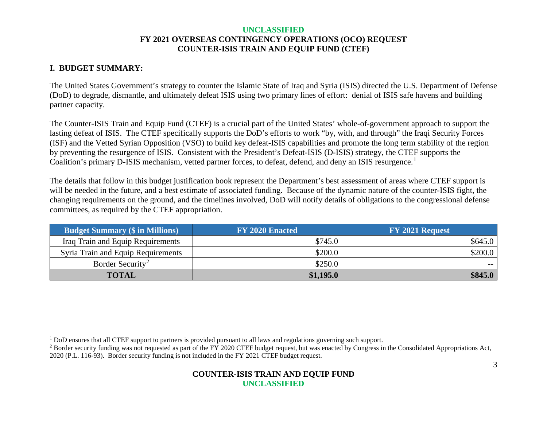# <span id="page-4-1"></span><span id="page-4-0"></span>**I. BUDGET SUMMARY:**

The United States Government's strategy to counter the Islamic State of Iraq and Syria (ISIS) directed the U.S. Department of Defense (DoD) to degrade, dismantle, and ultimately defeat ISIS using two primary lines of effort: denial of ISIS safe havens and building partner capacity.

The Counter-ISIS Train and Equip Fund (CTEF) is a crucial part of the United States' whole-of-government approach to support the lasting defeat of ISIS. The CTEF specifically supports the DoD's efforts to work "by, with, and through" the Iraqi Security Forces (ISF) and the Vetted Syrian Opposition (VSO) to build key defeat-ISIS capabilities and promote the long term stability of the region by preventing the resurgence of ISIS. Consistent with the President's Defeat-ISIS (D-ISIS) strategy, the CTEF supports the Coalition's primary D-ISIS mechanism, vetted partner forces, to defeat, defend, and deny an ISIS resurgence.<sup>[1](#page-4-0)</sup>

The details that follow in this budget justification book represent the Department's best assessment of areas where CTEF support is will be needed in the future, and a best estimate of associated funding. Because of the dynamic nature of the counter-ISIS fight, the changing requirements on the ground, and the timelines involved, DoD will notify details of obligations to the congressional defense committees, as required by the CTEF appropriation.

| <b>Budget Summary (\$ in Millions)</b> | <b>FY 2020 Enacted</b> | FY 2021 Request |
|----------------------------------------|------------------------|-----------------|
| Iraq Train and Equip Requirements      | \$745.0                | \$645.0         |
| Syria Train and Equip Requirements     | \$200.0                | \$200.0         |
| Border Security <sup>2</sup>           | \$250.0                | --              |
| <b>TOTAL</b>                           | \$1,195.0              | \$845.0         |

 $1$  DoD ensures that all CTEF support to partners is provided pursuant to all laws and regulations governing such support.

<sup>&</sup>lt;sup>2</sup> Border security funding was not requested as part of the FY 2020 CTEF budget request, but was enacted by Congress in the Consolidated Appropriations Act, 2020 (P.L. 116-93). Border security funding is not included in the FY 2021 CTEF budget request.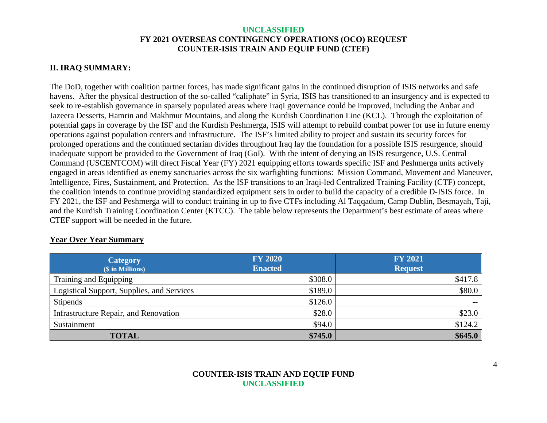# **II. IRAQ SUMMARY:**

The DoD, together with coalition partner forces, has made significant gains in the continued disruption of ISIS networks and safe havens. After the physical destruction of the so-called "caliphate" in Syria, ISIS has transitioned to an insurgency and is expected to seek to re-establish governance in sparsely populated areas where Iraqi governance could be improved, including the Anbar and Jazeera Desserts, Hamrin and Makhmur Mountains, and along the Kurdish Coordination Line (KCL). Through the exploitation of potential gaps in coverage by the ISF and the Kurdish Peshmerga, ISIS will attempt to rebuild combat power for use in future enemy operations against population centers and infrastructure. The ISF's limited ability to project and sustain its security forces for prolonged operations and the continued sectarian divides throughout Iraq lay the foundation for a possible ISIS resurgence, should inadequate support be provided to the Government of Iraq (GoI). With the intent of denying an ISIS resurgence, U.S. Central Command (USCENTCOM) will direct Fiscal Year (FY) 2021 equipping efforts towards specific ISF and Peshmerga units actively engaged in areas identified as enemy sanctuaries across the six warfighting functions: Mission Command, Movement and Maneuver, Intelligence, Fires, Sustainment, and Protection. As the ISF transitions to an Iraqi-led Centralized Training Facility (CTF) concept, the coalition intends to continue providing standardized equipment sets in order to build the capacity of a credible D-ISIS force. In FY 2021, the ISF and Peshmerga will to conduct training in up to five CTFs including Al Taqqadum, Camp Dublin, Besmayah, Taji, and the Kurdish Training Coordination Center (KTCC). The table below represents the Department's best estimate of areas where CTEF support will be needed in the future.

|  | <b>Year Over Year Summary</b> |
|--|-------------------------------|
|  |                               |

| <b>Category</b><br>(\$ in Millions)        | <b>FY 2020</b><br><b>Enacted</b> | <b>FY 2021</b><br><b>Request</b> |
|--------------------------------------------|----------------------------------|----------------------------------|
| Training and Equipping                     | \$308.0                          | \$417.8                          |
| Logistical Support, Supplies, and Services | \$189.0                          | \$80.0                           |
| <b>Stipends</b>                            | \$126.0                          | $- -$                            |
| Infrastructure Repair, and Renovation      | \$28.0                           | \$23.0                           |
| Sustainment                                | \$94.0                           | \$124.2                          |
| <b>TOTAL</b>                               | \$745.0                          | \$645.0                          |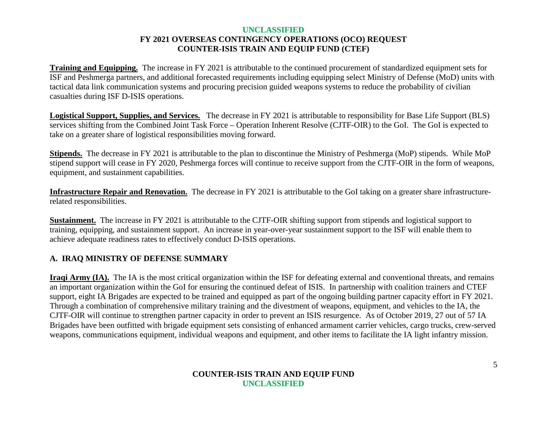**Training and Equipping.** The increase in FY 2021 is attributable to the continued procurement of standardized equipment sets for ISF and Peshmerga partners, and additional forecasted requirements including equipping select Ministry of Defense (MoD) units with tactical data link communication systems and procuring precision guided weapons systems to reduce the probability of civilian casualties during ISF D-ISIS operations.

**Logistical Support, Supplies, and Services.** The decrease in FY 2021 is attributable to responsibility for Base Life Support (BLS) services shifting from the Combined Joint Task Force – Operation Inherent Resolve (CJTF-OIR) to the GoI. The GoI is expected to take on a greater share of logistical responsibilities moving forward.

**Stipends.** The decrease in FY 2021 is attributable to the plan to discontinue the Ministry of Peshmerga (MoP) stipends. While MoP stipend support will cease in FY 2020, Peshmerga forces will continue to receive support from the CJTF-OIR in the form of weapons, equipment, and sustainment capabilities.

**Infrastructure Repair and Renovation.** The decrease in FY 2021 is attributable to the GoI taking on a greater share infrastructurerelated responsibilities.

**Sustainment.** The increase in FY 2021 is attributable to the CJTF-OIR shifting support from stipends and logistical support to training, equipping, and sustainment support. An increase in year-over-year sustainment support to the ISF will enable them to achieve adequate readiness rates to effectively conduct D-ISIS operations.

# **A. IRAQ MINISTRY OF DEFENSE SUMMARY**

**Iraqi Army (IA).** The IA is the most critical organization within the ISF for defeating external and conventional threats, and remains an important organization within the GoI for ensuring the continued defeat of ISIS. In partnership with coalition trainers and CTEF support, eight IA Brigades are expected to be trained and equipped as part of the ongoing building partner capacity effort in FY 2021. Through a combination of comprehensive military training and the divestment of weapons, equipment, and vehicles to the IA, the CJTF-OIR will continue to strengthen partner capacity in order to prevent an ISIS resurgence. As of October 2019, 27 out of 57 IA Brigades have been outfitted with brigade equipment sets consisting of enhanced armament carrier vehicles, cargo trucks, crew-served weapons, communications equipment, individual weapons and equipment, and other items to facilitate the IA light infantry mission.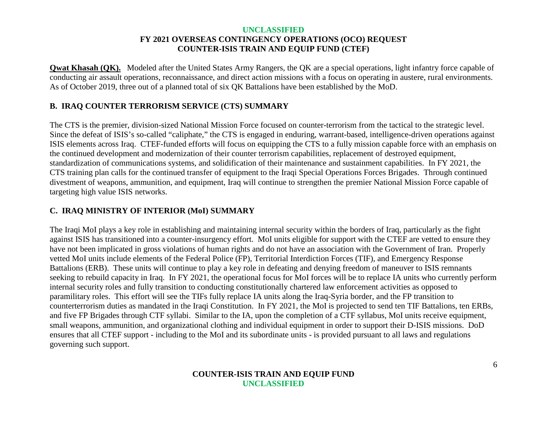**Qwat Khasah (QK).** Modeled after the United States Army Rangers, the QK are a special operations, light infantry force capable of conducting air assault operations, reconnaissance, and direct action missions with a focus on operating in austere, rural environments. As of October 2019, three out of a planned total of six QK Battalions have been established by the MoD.

# **B. IRAQ COUNTER TERRORISM SERVICE (CTS) SUMMARY**

The CTS is the premier, division-sized National Mission Force focused on counter-terrorism from the tactical to the strategic level. Since the defeat of ISIS's so-called "caliphate," the CTS is engaged in enduring, warrant-based, intelligence-driven operations against ISIS elements across Iraq. CTEF-funded efforts will focus on equipping the CTS to a fully mission capable force with an emphasis on the continued development and modernization of their counter terrorism capabilities, replacement of destroyed equipment, standardization of communications systems, and solidification of their maintenance and sustainment capabilities. In FY 2021, the CTS training plan calls for the continued transfer of equipment to the Iraqi Special Operations Forces Brigades. Through continued divestment of weapons, ammunition, and equipment, Iraq will continue to strengthen the premier National Mission Force capable of targeting high value ISIS networks.

## **C. IRAQ MINISTRY OF INTERIOR (MoI) SUMMARY**

The Iraqi MoI plays a key role in establishing and maintaining internal security within the borders of Iraq, particularly as the fight against ISIS has transitioned into a counter-insurgency effort. MoI units eligible for support with the CTEF are vetted to ensure they have not been implicated in gross violations of human rights and do not have an association with the Government of Iran. Properly vetted MoI units include elements of the Federal Police (FP), Territorial Interdiction Forces (TIF), and Emergency Response Battalions (ERB). These units will continue to play a key role in defeating and denying freedom of maneuver to ISIS remnants seeking to rebuild capacity in Iraq. In FY 2021, the operational focus for MoI forces will be to replace IA units who currently perform internal security roles and fully transition to conducting constitutionally chartered law enforcement activities as opposed to paramilitary roles. This effort will see the TIFs fully replace IA units along the Iraq-Syria border, and the FP transition to counterterrorism duties as mandated in the Iraqi Constitution. In FY 2021, the MoI is projected to send ten TIF Battalions, ten ERBs, and five FP Brigades through CTF syllabi. Similar to the IA, upon the completion of a CTF syllabus, MoI units receive equipment, small weapons, ammunition, and organizational clothing and individual equipment in order to support their D-ISIS missions. DoD ensures that all CTEF support - including to the MoI and its subordinate units - is provided pursuant to all laws and regulations governing such support.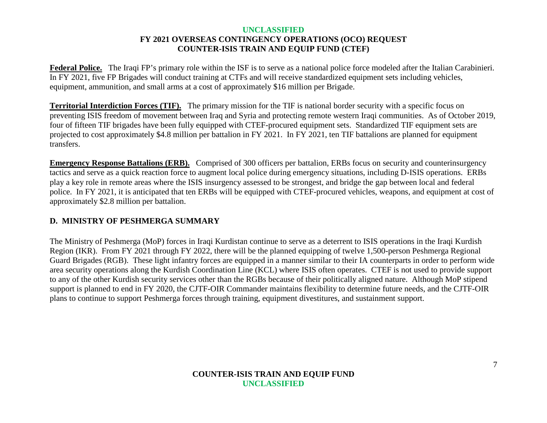**Federal Police.** The Iraqi FP's primary role within the ISF is to serve as a national police force modeled after the Italian Carabinieri. In FY 2021, five FP Brigades will conduct training at CTFs and will receive standardized equipment sets including vehicles, equipment, ammunition, and small arms at a cost of approximately \$16 million per Brigade.

**Territorial Interdiction Forces (TIF).** The primary mission for the TIF is national border security with a specific focus on preventing ISIS freedom of movement between Iraq and Syria and protecting remote western Iraqi communities. As of October 2019, four of fifteen TIF brigades have been fully equipped with CTEF-procured equipment sets. Standardized TIF equipment sets are projected to cost approximately \$4.8 million per battalion in FY 2021. In FY 2021, ten TIF battalions are planned for equipment transfers.

**Emergency Response Battalions (ERB).** Comprised of 300 officers per battalion, ERBs focus on security and counterinsurgency tactics and serve as a quick reaction force to augment local police during emergency situations, including D-ISIS operations. ERBs play a key role in remote areas where the ISIS insurgency assessed to be strongest, and bridge the gap between local and federal police. In FY 2021, it is anticipated that ten ERBs will be equipped with CTEF-procured vehicles, weapons, and equipment at cost of approximately \$2.8 million per battalion.

## **D. MINISTRY OF PESHMERGA SUMMARY**

The Ministry of Peshmerga (MoP) forces in Iraqi Kurdistan continue to serve as a deterrent to ISIS operations in the Iraqi Kurdish Region (IKR). From FY 2021 through FY 2022, there will be the planned equipping of twelve 1,500-person Peshmerga Regional Guard Brigades (RGB). These light infantry forces are equipped in a manner similar to their IA counterparts in order to perform wide area security operations along the Kurdish Coordination Line (KCL) where ISIS often operates. CTEF is not used to provide support to any of the other Kurdish security services other than the RGBs because of their politically aligned nature. Although MoP stipend support is planned to end in FY 2020, the CJTF-OIR Commander maintains flexibility to determine future needs, and the CJTF-OIR plans to continue to support Peshmerga forces through training, equipment divestitures, and sustainment support.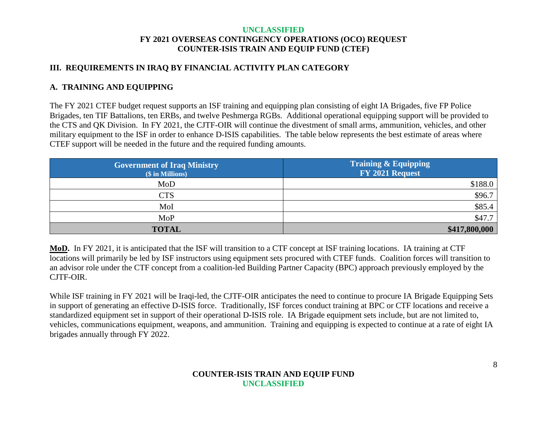# **III. REQUIREMENTS IN IRAQ BY FINANCIAL ACTIVITY PLAN CATEGORY**

# **A. TRAINING AND EQUIPPING**

The FY 2021 CTEF budget request supports an ISF training and equipping plan consisting of eight IA Brigades, five FP Police Brigades, ten TIF Battalions, ten ERBs, and twelve Peshmerga RGBs. Additional operational equipping support will be provided to the CTS and QK Division. In FY 2021, the CJTF-OIR will continue the divestment of small arms, ammunition, vehicles, and other military equipment to the ISF in order to enhance D-ISIS capabilities. The table below represents the best estimate of areas where CTEF support will be needed in the future and the required funding amounts.

| <b>Government of Iraq Ministry</b><br>(\$ in Millions) | <b>Training &amp; Equipping</b><br>FY 2021 Request |
|--------------------------------------------------------|----------------------------------------------------|
| MoD                                                    | \$188.0                                            |
| <b>CTS</b>                                             | \$96.7                                             |
| MoI                                                    | \$85.4                                             |
| MoP                                                    | \$47.7                                             |
| <b>TOTAL</b>                                           | \$417,800,000                                      |

**MoD.** In FY 2021, it is anticipated that the ISF will transition to a CTF concept at ISF training locations. IA training at CTF locations will primarily be led by ISF instructors using equipment sets procured with CTEF funds. Coalition forces will transition to an advisor role under the CTF concept from a coalition-led Building Partner Capacity (BPC) approach previously employed by the CJTF-OIR.

While ISF training in FY 2021 will be Iraqi-led, the CJTF-OIR anticipates the need to continue to procure IA Brigade Equipping Sets in support of generating an effective D-ISIS force. Traditionally, ISF forces conduct training at BPC or CTF locations and receive a standardized equipment set in support of their operational D-ISIS role. IA Brigade equipment sets include, but are not limited to, vehicles, communications equipment, weapons, and ammunition. Training and equipping is expected to continue at a rate of eight IA brigades annually through FY 2022.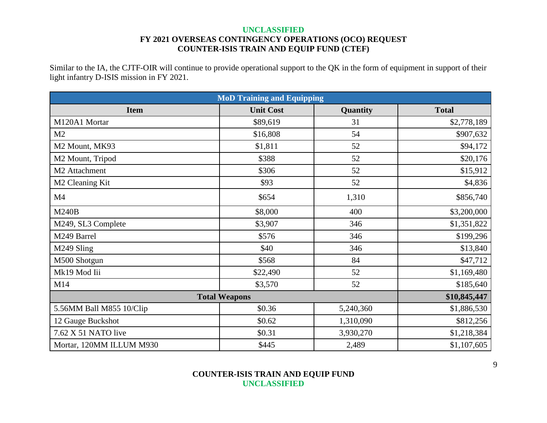Similar to the IA, the CJTF-OIR will continue to provide operational support to the QK in the form of equipment in support of their light infantry D-ISIS mission in FY 2021.

| <b>MoD Training and Equipping</b> |                  |           |              |  |  |
|-----------------------------------|------------------|-----------|--------------|--|--|
| <b>Item</b>                       | <b>Unit Cost</b> | Quantity  | <b>Total</b> |  |  |
| M120A1 Mortar                     | \$89,619         | 31        | \$2,778,189  |  |  |
| M2                                | \$16,808         | 54        | \$907,632    |  |  |
| M2 Mount, MK93                    | \$1,811          | 52        | \$94,172     |  |  |
| M2 Mount, Tripod                  | \$388            | 52        | \$20,176     |  |  |
| M <sub>2</sub> Attachment         | \$306            | 52        | \$15,912     |  |  |
| M2 Cleaning Kit                   | \$93             | 52        | \$4,836      |  |  |
| M <sub>4</sub>                    | \$654            | 1,310     | \$856,740    |  |  |
| <b>M240B</b>                      | \$8,000          | 400       | \$3,200,000  |  |  |
| M249, SL3 Complete                | \$3,907          | 346       | \$1,351,822  |  |  |
| M249 Barrel                       | \$576            | 346       | \$199,296    |  |  |
| M249 Sling                        | \$40             | 346       | \$13,840     |  |  |
| M500 Shotgun                      | \$568            | 84        | \$47,712     |  |  |
| Mk19 Mod Iii                      | \$22,490         | 52        | \$1,169,480  |  |  |
| M14                               | \$3,570          | 52        | \$185,640    |  |  |
| <b>Total Weapons</b>              | \$10,845,447     |           |              |  |  |
| 5.56MM Ball M855 10/Clip          | \$0.36           | 5,240,360 | \$1,886,530  |  |  |
| 12 Gauge Buckshot                 | \$0.62           | 1,310,090 | \$812,256    |  |  |
| 7.62 X 51 NATO live               | \$0.31           | 3,930,270 | \$1,218,384  |  |  |
| Mortar, 120MM ILLUM M930          | \$445            | 2,489     | \$1,107,605  |  |  |

## **COUNTER-ISIS TRAIN AND EQUIP FUND UNCLASSIFIED**

9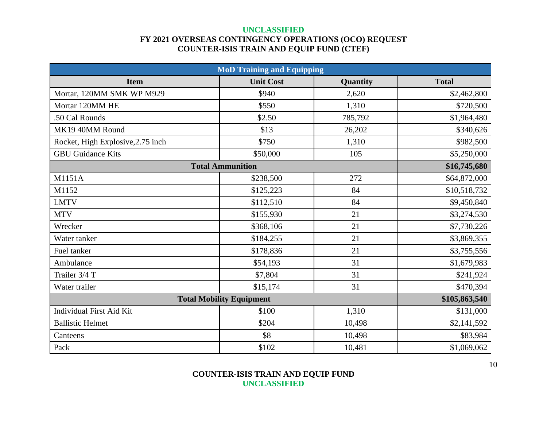| <b>MoD Training and Equipping</b> |                         |          |              |  |
|-----------------------------------|-------------------------|----------|--------------|--|
| <b>Item</b>                       | <b>Unit Cost</b>        | Quantity | <b>Total</b> |  |
| Mortar, 120MM SMK WP M929         | \$940                   | 2,620    | \$2,462,800  |  |
| Mortar 120MM HE                   | \$550                   | 1,310    | \$720,500    |  |
| .50 Cal Rounds                    | \$2.50                  | 785,792  | \$1,964,480  |  |
| MK19 40MM Round                   | \$13                    | 26,202   | \$340,626    |  |
| Rocket, High Explosive, 2.75 inch | \$750                   | 1,310    | \$982,500    |  |
| <b>GBU Guidance Kits</b>          | \$50,000                | 105      | \$5,250,000  |  |
|                                   | <b>Total Ammunition</b> |          | \$16,745,680 |  |
| M1151A                            | \$238,500               | 272      | \$64,872,000 |  |
| M1152                             | \$125,223               | 84       | \$10,518,732 |  |
| <b>LMTV</b>                       | \$112,510               | 84       | \$9,450,840  |  |
| <b>MTV</b>                        | \$155,930               | 21       | \$3,274,530  |  |
| Wrecker                           | \$368,106               | 21       | \$7,730,226  |  |
| Water tanker                      | \$184,255               | 21       | \$3,869,355  |  |
| Fuel tanker                       | \$178,836               | 21       | \$3,755,556  |  |
| Ambulance                         | \$54,193                | 31       | \$1,679,983  |  |
| Trailer 3/4 T                     | \$7,804                 | 31       | \$241,924    |  |
| Water trailer                     | \$15,174                | 31       | \$470,394    |  |
| <b>Total Mobility Equipment</b>   | \$105,863,540           |          |              |  |
| <b>Individual First Aid Kit</b>   | \$100                   | 1,310    | \$131,000    |  |
| <b>Ballistic Helmet</b>           | \$204                   | 10,498   | \$2,141,592  |  |
| Canteens                          | \$8                     | 10,498   | \$83,984     |  |
| Pack                              | \$102                   | 10,481   | \$1,069,062  |  |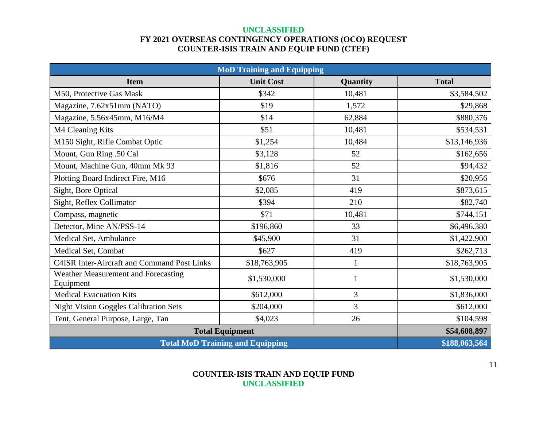| <b>MoD Training and Equipping</b>                       |                  |              |              |  |
|---------------------------------------------------------|------------------|--------------|--------------|--|
| <b>Item</b>                                             | <b>Unit Cost</b> | Quantity     | <b>Total</b> |  |
| M50, Protective Gas Mask                                | \$342            | 10,481       | \$3,584,502  |  |
| Magazine, 7.62x51mm (NATO)                              | \$19             | 1,572        | \$29,868     |  |
| Magazine, 5.56x45mm, M16/M4                             | \$14             | 62,884       | \$880,376    |  |
| M4 Cleaning Kits                                        | \$51             | 10,481       | \$534,531    |  |
| M150 Sight, Rifle Combat Optic                          | \$1,254          | 10,484       | \$13,146,936 |  |
| Mount, Gun Ring .50 Cal                                 | \$3,128          | 52           | \$162,656    |  |
| Mount, Machine Gun, 40mm Mk 93                          | \$1,816          | 52           | \$94,432     |  |
| Plotting Board Indirect Fire, M16                       | \$676            | 31           | \$20,956     |  |
| Sight, Bore Optical                                     | \$2,085          | 419          | \$873,615    |  |
| Sight, Reflex Collimator                                | \$394            | 210          | \$82,740     |  |
| Compass, magnetic                                       | \$71             | 10,481       | \$744,151    |  |
| Detector, Mine AN/PSS-14                                | \$196,860        | 33           | \$6,496,380  |  |
| Medical Set, Ambulance                                  | \$45,900         | 31           | \$1,422,900  |  |
| Medical Set, Combat                                     | \$627            | 419          | \$262,713    |  |
| <b>C4ISR Inter-Aircraft and Command Post Links</b>      | \$18,763,905     | $\mathbf{1}$ | \$18,763,905 |  |
| <b>Weather Measurement and Forecasting</b><br>Equipment | \$1,530,000      | 1            | \$1,530,000  |  |
| <b>Medical Evacuation Kits</b>                          | \$612,000        | 3            | \$1,836,000  |  |
| <b>Night Vision Goggles Calibration Sets</b>            | \$204,000        | 3            | \$612,000    |  |
| Tent, General Purpose, Large, Tan                       | \$4,023          | 26           | \$104,598    |  |
| <b>Total Equipment</b>                                  | \$54,608,897     |              |              |  |
| <b>Total MoD Training and Equipping</b>                 | \$188,063,564    |              |              |  |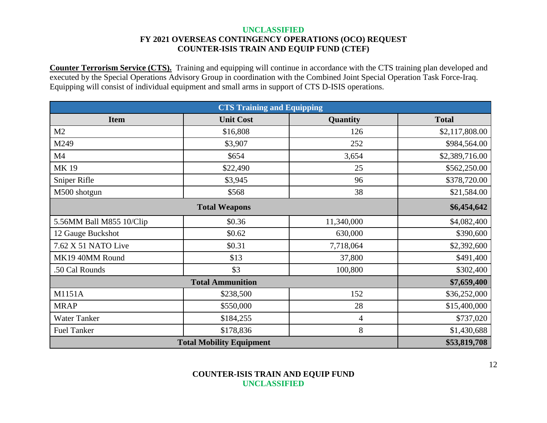**Counter Terrorism Service (CTS).** Training and equipping will continue in accordance with the CTS training plan developed and executed by the Special Operations Advisory Group in coordination with the Combined Joint Special Operation Task Force-Iraq. Equipping will consist of individual equipment and small arms in support of CTS D-ISIS operations.

| <b>CTS Training and Equipping</b> |                         |                |                |  |
|-----------------------------------|-------------------------|----------------|----------------|--|
| <b>Item</b>                       | <b>Unit Cost</b>        | Quantity       | <b>Total</b>   |  |
| M2                                | \$16,808                | 126            | \$2,117,808.00 |  |
| M249                              | \$3,907                 | 252            | \$984,564.00   |  |
| M <sub>4</sub>                    | \$654                   | 3,654          | \$2,389,716.00 |  |
| <b>MK19</b>                       | \$22,490                | 25             | \$562,250.00   |  |
| Sniper Rifle                      | \$3,945                 | 96             | \$378,720.00   |  |
| M500 shotgun                      | \$568                   | 38             | \$21,584.00    |  |
|                                   | \$6,454,642             |                |                |  |
| 5.56MM Ball M855 10/Clip          | \$0.36                  | 11,340,000     | \$4,082,400    |  |
| 12 Gauge Buckshot                 | \$0.62                  | 630,000        | \$390,600      |  |
| 7.62 X 51 NATO Live               | \$0.31                  | 7,718,064      | \$2,392,600    |  |
| MK19 40MM Round                   | \$13                    | 37,800         | \$491,400      |  |
| .50 Cal Rounds                    | \$3                     | 100,800        | \$302,400      |  |
|                                   | <b>Total Ammunition</b> |                | \$7,659,400    |  |
| M1151A                            | \$238,500               | 152            | \$36,252,000   |  |
| <b>MRAP</b>                       | \$550,000               | 28             | \$15,400,000   |  |
| <b>Water Tanker</b>               | \$184,255               | $\overline{4}$ | \$737,020      |  |
| <b>Fuel Tanker</b>                | \$178,836               | 8              | \$1,430,688    |  |
| <b>Total Mobility Equipment</b>   | \$53,819,708            |                |                |  |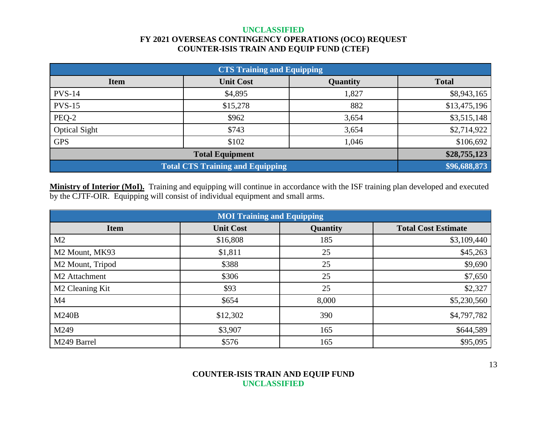| <b>CTS Training and Equipping</b>       |                  |          |              |  |
|-----------------------------------------|------------------|----------|--------------|--|
| <b>Item</b>                             | <b>Unit Cost</b> | Quantity | <b>Total</b> |  |
| $PVS-14$                                | \$4,895          | 1,827    | \$8,943,165  |  |
| <b>PVS-15</b>                           | \$15,278         | 882      | \$13,475,196 |  |
| PEQ-2                                   | \$962            | 3,654    | \$3,515,148  |  |
| <b>Optical Sight</b>                    | \$743            | 3,654    | \$2,714,922  |  |
| <b>GPS</b>                              | \$102            | 1,046    | \$106,692    |  |
|                                         | \$28,755,123     |          |              |  |
| <b>Total CTS Training and Equipping</b> | \$96,688,873     |          |              |  |

**Ministry of Interior (MoI).** Training and equipping will continue in accordance with the ISF training plan developed and executed by the CJTF-OIR. Equipping will consist of individual equipment and small arms.

| <b>MOI Training and Equipping</b> |                  |          |                            |
|-----------------------------------|------------------|----------|----------------------------|
| <b>Item</b>                       | <b>Unit Cost</b> | Quantity | <b>Total Cost Estimate</b> |
| M2                                | \$16,808         | 185      | \$3,109,440                |
| M <sub>2</sub> Mount, MK93        | \$1,811          | 25       | \$45,263                   |
| M <sub>2</sub> Mount, Tripod      | \$388            | 25       | \$9,690                    |
| M <sub>2</sub> Attachment         | \$306            | 25       | \$7,650                    |
| M <sub>2</sub> Cleaning Kit       | \$93             | 25       | \$2,327                    |
| M <sub>4</sub>                    | \$654            | 8,000    | \$5,230,560                |
| <b>M240B</b>                      | \$12,302         | 390      | \$4,797,782                |
| M249                              | \$3,907          | 165      | \$644,589                  |
| M249 Barrel                       | \$576            | 165      | \$95,095                   |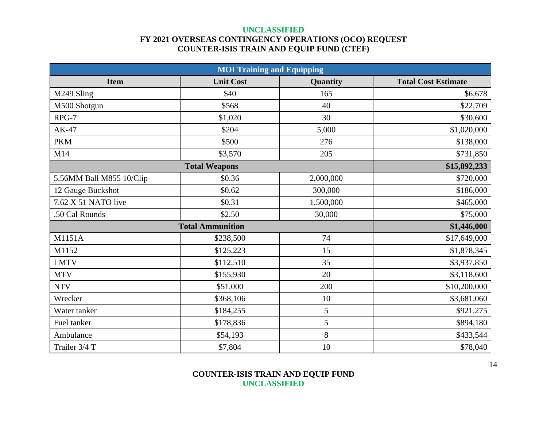| <b>MOI Training and Equipping</b> |                      |             |                            |
|-----------------------------------|----------------------|-------------|----------------------------|
| <b>Item</b>                       | <b>Unit Cost</b>     | Quantity    | <b>Total Cost Estimate</b> |
| M249 Sling                        | \$40                 | 165         | \$6,678                    |
| M500 Shotgun                      | \$568                | 40          | \$22,709                   |
| $RPG-7$                           | \$1,020              | 30          | \$30,600                   |
| $AK-47$                           | \$204                | 5,000       | \$1,020,000                |
| <b>PKM</b>                        | \$500                | 276         | \$138,000                  |
| M14                               | \$3,570              | 205         | \$731,850                  |
|                                   | <b>Total Weapons</b> |             | \$15,892,233               |
| 5.56MM Ball M855 10/Clip          | \$0.36               | 2,000,000   | \$720,000                  |
| 12 Gauge Buckshot                 | \$0.62               | 300,000     | \$186,000                  |
| 7.62 X 51 NATO live               | \$0.31               | 1,500,000   | \$465,000                  |
| .50 Cal Rounds                    | \$2.50               | 30,000      | \$75,000                   |
| <b>Total Ammunition</b>           |                      | \$1,446,000 |                            |
| M1151A                            | \$238,500            | 74          | \$17,649,000               |
| M1152                             | \$125,223            | 15          | \$1,878,345                |
| <b>LMTV</b>                       | \$112,510            | 35          | \$3,937,850                |
| <b>MTV</b>                        | \$155,930            | 20          | \$3,118,600                |
| <b>NTV</b>                        | \$51,000             | 200         | \$10,200,000               |
| Wrecker                           | \$368,106            | 10          | \$3,681,060                |
| Water tanker                      | \$184,255            | 5           | \$921,275                  |
| Fuel tanker                       | \$178,836            | 5           | \$894,180                  |
| Ambulance                         | \$54,193             | 8           | \$433,544                  |
| Trailer 3/4 T                     | \$7,804              | 10          | \$78,040                   |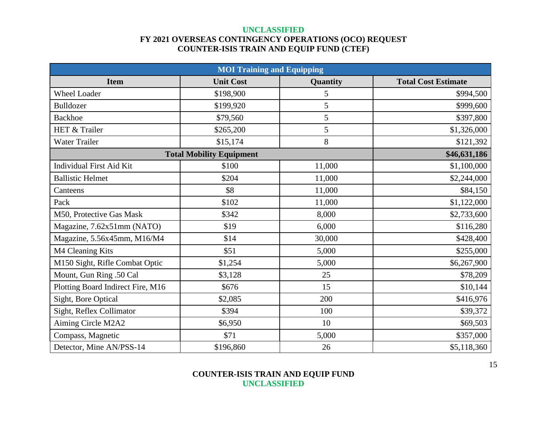| <b>MOI Training and Equipping</b> |                                 |          |                            |
|-----------------------------------|---------------------------------|----------|----------------------------|
| <b>Item</b>                       | <b>Unit Cost</b>                | Quantity | <b>Total Cost Estimate</b> |
| <b>Wheel Loader</b>               | \$198,900                       | 5        | \$994,500                  |
| Bulldozer                         | \$199,920                       | 5        | \$999,600                  |
| <b>Backhoe</b>                    | \$79,560                        | 5        | \$397,800                  |
| HET & Trailer                     | \$265,200                       | 5        | \$1,326,000                |
| <b>Water Trailer</b>              | \$15,174                        | 8        | \$121,392                  |
|                                   | <b>Total Mobility Equipment</b> |          | \$46,631,186               |
| <b>Individual First Aid Kit</b>   | \$100                           | 11,000   | \$1,100,000                |
| <b>Ballistic Helmet</b>           | \$204                           | 11,000   | \$2,244,000                |
| Canteens                          | \$8                             | 11,000   | \$84,150                   |
| Pack                              | \$102                           | 11,000   | \$1,122,000                |
| M50, Protective Gas Mask          | \$342                           | 8,000    | \$2,733,600                |
| Magazine, 7.62x51mm (NATO)        | \$19                            | 6,000    | \$116,280                  |
| Magazine, 5.56x45mm, M16/M4       | \$14                            | 30,000   | \$428,400                  |
| M4 Cleaning Kits                  | \$51                            | 5,000    | \$255,000                  |
| M150 Sight, Rifle Combat Optic    | \$1,254                         | 5,000    | \$6,267,900                |
| Mount, Gun Ring .50 Cal           | \$3,128                         | 25       | \$78,209                   |
| Plotting Board Indirect Fire, M16 | \$676                           | 15       | \$10,144                   |
| Sight, Bore Optical               | \$2,085                         | 200      | \$416,976                  |
| Sight, Reflex Collimator          | \$394                           | 100      | \$39,372                   |
| Aiming Circle M2A2                | \$6,950                         | 10       | \$69,503                   |
| Compass, Magnetic                 | \$71                            | 5,000    | \$357,000                  |
| Detector, Mine AN/PSS-14          | \$196,860                       | 26       | \$5,118,360                |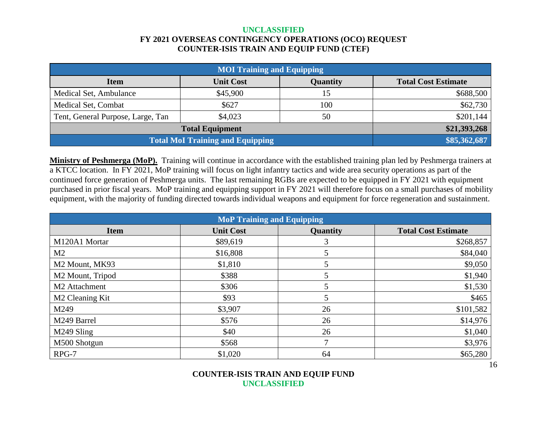| <b>MOI Training and Equipping</b>       |                  |                 |                            |
|-----------------------------------------|------------------|-----------------|----------------------------|
| <b>Item</b>                             | <b>Unit Cost</b> | <b>Quantity</b> | <b>Total Cost Estimate</b> |
| Medical Set, Ambulance                  | \$45,900         | 15              | \$688,500                  |
| Medical Set, Combat                     | \$627            | 100             | \$62,730                   |
| Tent, General Purpose, Large, Tan       | \$4,023          | 50              | \$201,144                  |
| <b>Total Equipment</b>                  |                  |                 | \$21,393,268               |
| <b>Total MoI Training and Equipping</b> |                  | \$85,362,687    |                            |

**Ministry of Peshmerga (MoP).** Training will continue in accordance with the established training plan led by Peshmerga trainers at a KTCC location. In FY 2021, MoP training will focus on light infantry tactics and wide area security operations as part of the continued force generation of Peshmerga units. The last remaining RGBs are expected to be equipped in FY 2021 with equipment purchased in prior fiscal years. MoP training and equipping support in FY 2021 will therefore focus on a small purchases of mobility equipment, with the majority of funding directed towards individual weapons and equipment for force regeneration and sustainment.

| <b>MoP Training and Equipping</b> |                  |                 |                            |
|-----------------------------------|------------------|-----------------|----------------------------|
| <b>Item</b>                       | <b>Unit Cost</b> | <b>Quantity</b> | <b>Total Cost Estimate</b> |
| M120A1 Mortar                     | \$89,619         | 3               | \$268,857                  |
| M <sub>2</sub>                    | \$16,808         | 5               | \$84,040                   |
| M2 Mount, MK93                    | \$1,810          | 5               | \$9,050                    |
| M <sub>2</sub> Mount, Tripod      | \$388            | 5               | \$1,940                    |
| M2 Attachment                     | \$306            |                 | \$1,530                    |
| M <sub>2</sub> Cleaning Kit       | \$93             | 5               | \$465                      |
| M249                              | \$3,907          | 26              | \$101,582                  |
| M249 Barrel                       | \$576            | 26              | \$14,976                   |
| M249 Sling                        | \$40             | 26              | \$1,040                    |
| M500 Shotgun                      | \$568            | 7               | \$3,976                    |
| RPG-7                             | \$1,020          | 64              | \$65,280                   |

#### **COUNTER-ISIS TRAIN AND EQUIP FUND UNCLASSIFIED**

16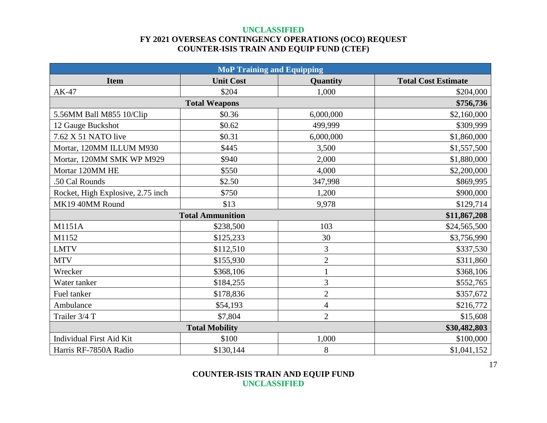| <b>MoP Training and Equipping</b> |                      |                 |                            |
|-----------------------------------|----------------------|-----------------|----------------------------|
| <b>Item</b>                       | <b>Unit Cost</b>     | <b>Quantity</b> | <b>Total Cost Estimate</b> |
| AK-47                             | \$204                | 1,000           | \$204,000                  |
|                                   | <b>Total Weapons</b> |                 | \$756,736                  |
| 5.56MM Ball M855 10/Clip          | \$0.36               | 6,000,000       | \$2,160,000                |
| 12 Gauge Buckshot                 | \$0.62               | 499,999         | \$309,999                  |
| 7.62 X 51 NATO live               | \$0.31               | 6,000,000       | \$1,860,000                |
| Mortar, 120MM ILLUM M930          | \$445                | 3,500           | \$1,557,500                |
| Mortar, 120MM SMK WP M929         | \$940                | 2,000           | \$1,880,000                |
| Mortar 120MM HE                   | \$550                | 4,000           | \$2,200,000                |
| .50 Cal Rounds                    | \$2.50               | 347,998         | \$869,995                  |
| Rocket, High Explosive, 2.75 inch | \$750                | 1,200           | \$900,000                  |
| MK19 40MM Round                   | \$13                 | 9,978           | \$129,714                  |
| <b>Total Ammunition</b>           |                      |                 | \$11,867,208               |
| M1151A                            | \$238,500            | 103             | \$24,565,500               |
| M1152                             | \$125,233            | 30              | \$3,756,990                |
| <b>LMTV</b>                       | \$112,510            | 3               | \$337,530                  |
| <b>MTV</b>                        | \$155,930            | $\overline{2}$  | \$311,860                  |
| Wrecker                           | \$368,106            | $\mathbf{1}$    | \$368,106                  |
| Water tanker                      | \$184,255            | 3               | \$552,765                  |
| Fuel tanker                       | \$178,836            | $\overline{c}$  | \$357,672                  |
| Ambulance                         | \$54,193             | $\overline{4}$  | \$216,772                  |
| Trailer 3/4 T                     | \$7,804              | $\overline{2}$  | \$15,608                   |
| <b>Total Mobility</b>             |                      |                 | \$30,482,803               |
| <b>Individual First Aid Kit</b>   | \$100                | 1,000           | \$100,000                  |
| Harris RF-7850A Radio             | \$130,144            | 8               | \$1,041,152                |

## **COUNTER-ISIS TRAIN AND EQUIP FUND UNCLASSIFIED**

17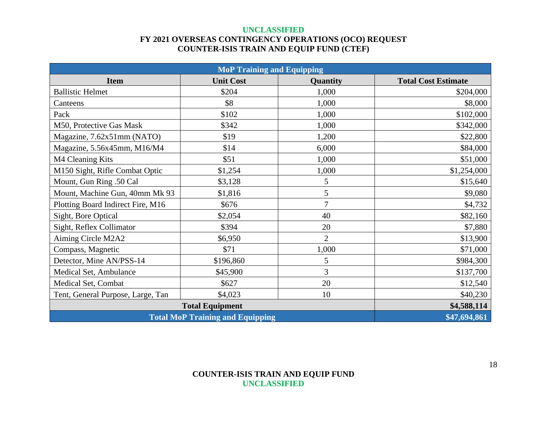| <b>MoP Training and Equipping</b> |                                         |                |                            |
|-----------------------------------|-----------------------------------------|----------------|----------------------------|
| <b>Item</b>                       | <b>Unit Cost</b>                        | Quantity       | <b>Total Cost Estimate</b> |
| <b>Ballistic Helmet</b>           | \$204                                   | 1,000          | \$204,000                  |
| Canteens                          | \$8                                     | 1,000          | \$8,000                    |
| Pack                              | \$102                                   | 1,000          | \$102,000                  |
| M50, Protective Gas Mask          | \$342                                   | 1,000          | \$342,000                  |
| Magazine, 7.62x51mm (NATO)        | \$19                                    | 1,200          | \$22,800                   |
| Magazine, 5.56x45mm, M16/M4       | \$14                                    | 6,000          | \$84,000                   |
| M4 Cleaning Kits                  | \$51                                    | 1,000          | \$51,000                   |
| M150 Sight, Rifle Combat Optic    | \$1,254                                 | 1,000          | \$1,254,000                |
| Mount, Gun Ring .50 Cal           | \$3,128                                 | 5              | \$15,640                   |
| Mount, Machine Gun, 40mm Mk 93    | \$1,816                                 | 5              | \$9,080                    |
| Plotting Board Indirect Fire, M16 | \$676                                   | $\overline{7}$ | \$4,732                    |
| Sight, Bore Optical               | \$2,054                                 | 40             | \$82,160                   |
| Sight, Reflex Collimator          | \$394                                   | 20             | \$7,880                    |
| Aiming Circle M2A2                | \$6,950                                 | $\overline{2}$ | \$13,900                   |
| Compass, Magnetic                 | \$71                                    | 1,000          | \$71,000                   |
| Detector, Mine AN/PSS-14          | \$196,860                               | 5              | \$984,300                  |
| Medical Set, Ambulance            | \$45,900                                | 3              | \$137,700                  |
| Medical Set, Combat               | \$627                                   | 20             | \$12,540                   |
| Tent, General Purpose, Large, Tan | \$4,023                                 | 10             | \$40,230                   |
|                                   | <b>Total Equipment</b>                  |                | \$4,588,114                |
|                                   | <b>Total MoP Training and Equipping</b> |                | \$47,694,861               |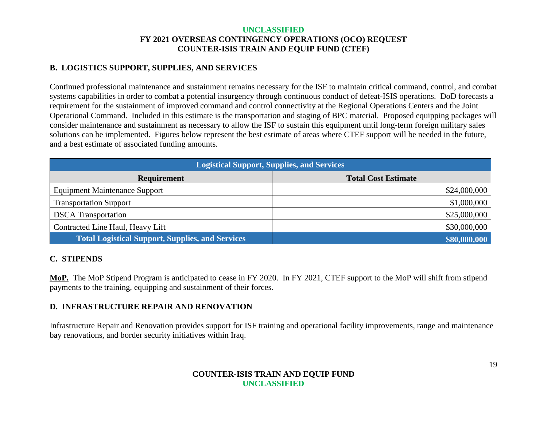# **B. LOGISTICS SUPPORT, SUPPLIES, AND SERVICES**

Continued professional maintenance and sustainment remains necessary for the ISF to maintain critical command, control, and combat systems capabilities in order to combat a potential insurgency through continuous conduct of defeat-ISIS operations. DoD forecasts a requirement for the sustainment of improved command and control connectivity at the Regional Operations Centers and the Joint Operational Command. Included in this estimate is the transportation and staging of BPC material. Proposed equipping packages will consider maintenance and sustainment as necessary to allow the ISF to sustain this equipment until long-term foreign military sales solutions can be implemented. Figures below represent the best estimate of areas where CTEF support will be needed in the future, and a best estimate of associated funding amounts.

| <b>Logistical Support, Supplies, and Services</b>       |                            |  |
|---------------------------------------------------------|----------------------------|--|
| <b>Requirement</b>                                      | <b>Total Cost Estimate</b> |  |
| <b>Equipment Maintenance Support</b>                    | \$24,000,000               |  |
| <b>Transportation Support</b>                           | \$1,000,000                |  |
| <b>DSCA</b> Transportation                              | \$25,000,000               |  |
| Contracted Line Haul, Heavy Lift                        | \$30,000,000               |  |
| <b>Total Logistical Support, Supplies, and Services</b> | \$80,000,000               |  |

## **C. STIPENDS**

**MoP.** The MoP Stipend Program is anticipated to cease in FY 2020. In FY 2021, CTEF support to the MoP will shift from stipend payments to the training, equipping and sustainment of their forces.

# **D. INFRASTRUCTURE REPAIR AND RENOVATION**

Infrastructure Repair and Renovation provides support for ISF training and operational facility improvements, range and maintenance bay renovations, and border security initiatives within Iraq.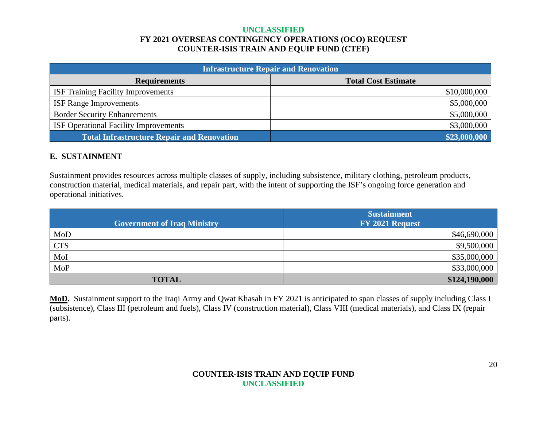| <b>Infrastructure Repair and Renovation</b>       |                            |  |
|---------------------------------------------------|----------------------------|--|
| <b>Requirements</b>                               | <b>Total Cost Estimate</b> |  |
| <b>ISF Training Facility Improvements</b>         | \$10,000,000               |  |
| <b>ISF Range Improvements</b>                     | \$5,000,000                |  |
| <b>Border Security Enhancements</b>               | \$5,000,000                |  |
| <b>ISF Operational Facility Improvements</b>      | \$3,000,000                |  |
| <b>Total Infrastructure Repair and Renovation</b> | $\sqrt{23,000,000}$        |  |

## **E. SUSTAINMENT**

Sustainment provides resources across multiple classes of supply, including subsistence, military clothing, petroleum products, construction material, medical materials, and repair part, with the intent of supporting the ISF's ongoing force generation and operational initiatives.

|                                    | <b>Sustainment</b> |
|------------------------------------|--------------------|
| <b>Government of Iraq Ministry</b> | FY 2021 Request    |
| MoD                                | \$46,690,000       |
| CTS                                | \$9,500,000        |
| MoI                                | \$35,000,000       |
| <b>MoP</b>                         | \$33,000,000       |
| <b>TOTAL</b>                       | \$124,190,000      |

**MoD.** Sustainment support to the Iraqi Army and Qwat Khasah in FY 2021 is anticipated to span classes of supply including Class I (subsistence), Class III (petroleum and fuels), Class IV (construction material), Class VIII (medical materials), and Class IX (repair parts).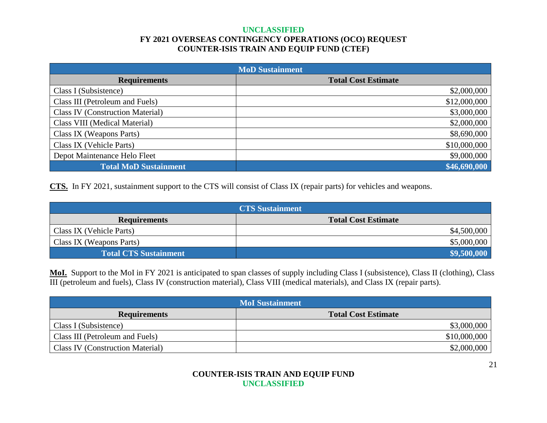| <b>MoD Sustainment</b>                  |                            |  |
|-----------------------------------------|----------------------------|--|
| <b>Requirements</b>                     | <b>Total Cost Estimate</b> |  |
| Class I (Subsistence)                   | \$2,000,000                |  |
| Class III (Petroleum and Fuels)         | \$12,000,000               |  |
| <b>Class IV (Construction Material)</b> | \$3,000,000                |  |
| <b>Class VIII (Medical Material)</b>    | \$2,000,000                |  |
| Class IX (Weapons Parts)                | \$8,690,000                |  |
| Class IX (Vehicle Parts)                | \$10,000,000               |  |
| Depot Maintenance Helo Fleet            | \$9,000,000                |  |
| <b>Total MoD Sustainment</b>            | \$46,690,000               |  |

**CTS.** In FY 2021, sustainment support to the CTS will consist of Class IX (repair parts) for vehicles and weapons.

| <b>CTS</b> Sustainment       |                            |  |
|------------------------------|----------------------------|--|
| <b>Requirements</b>          | <b>Total Cost Estimate</b> |  |
| Class IX (Vehicle Parts)     | \$4,500,000                |  |
| Class IX (Weapons Parts)     | \$5,000,000                |  |
| <b>Total CTS Sustainment</b> | \$9,500,000                |  |

MoI. Support to the MoI in FY 2021 is anticipated to span classes of supply including Class I (subsistence), Class II (clothing), Class III (petroleum and fuels), Class IV (construction material), Class VIII (medical materials), and Class IX (repair parts).

| <b>MoI</b> Sustainment                  |                            |  |  |
|-----------------------------------------|----------------------------|--|--|
| <b>Requirements</b>                     | <b>Total Cost Estimate</b> |  |  |
| Class I (Subsistence)                   | \$3,000,000                |  |  |
| Class III (Petroleum and Fuels)         | \$10,000,000               |  |  |
| <b>Class IV (Construction Material)</b> | \$2,000,000                |  |  |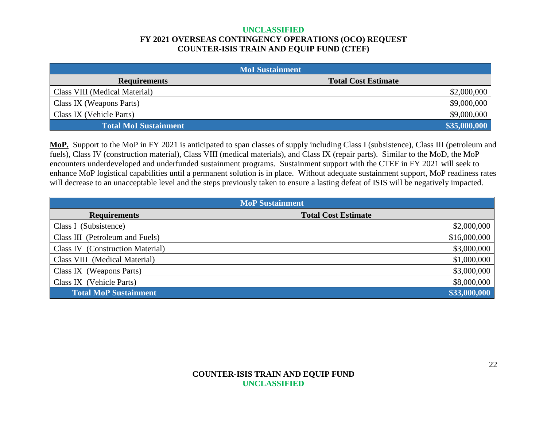| <b>MoI</b> Sustainment               |                            |  |
|--------------------------------------|----------------------------|--|
| <b>Requirements</b>                  | <b>Total Cost Estimate</b> |  |
| <b>Class VIII (Medical Material)</b> | \$2,000,000                |  |
| Class IX (Weapons Parts)             | \$9,000,000                |  |
| Class IX (Vehicle Parts)             | \$9,000,000                |  |
| <b>Total MoI Sustainment</b>         | \$35,000,000               |  |

**MoP.** Support to the MoP in FY 2021 is anticipated to span classes of supply including Class I (subsistence), Class III (petroleum and fuels), Class IV (construction material), Class VIII (medical materials), and Class IX (repair parts). Similar to the MoD, the MoP encounters underdeveloped and underfunded sustainment programs. Sustainment support with the CTEF in FY 2021 will seek to enhance MoP logistical capabilities until a permanent solution is in place. Without adequate sustainment support, MoP readiness rates will decrease to an unacceptable level and the steps previously taken to ensure a lasting defeat of ISIS will be negatively impacted.

| <b>MoP Sustainment</b>                  |                            |  |  |
|-----------------------------------------|----------------------------|--|--|
| <b>Requirements</b>                     | <b>Total Cost Estimate</b> |  |  |
| Class I (Subsistence)                   | \$2,000,000                |  |  |
| Class III (Petroleum and Fuels)         | \$16,000,000               |  |  |
| <b>Class IV</b> (Construction Material) | \$3,000,000                |  |  |
| Class VIII (Medical Material)           | \$1,000,000                |  |  |
| Class IX (Weapons Parts)                | \$3,000,000                |  |  |
| Class IX (Vehicle Parts)                | \$8,000,000                |  |  |
| <b>Total MoP Sustainment</b>            | \$33,000,000               |  |  |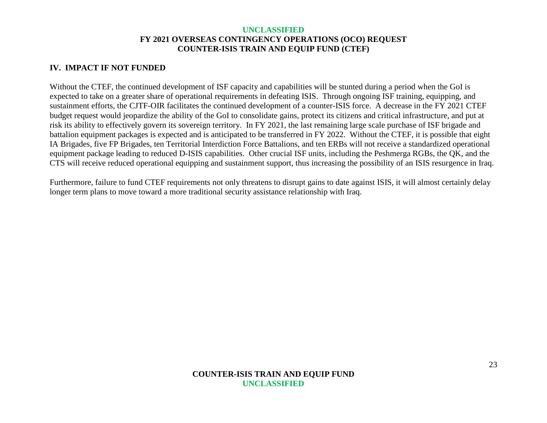## **IV. IMPACT IF NOT FUNDED**

Without the CTEF, the continued development of ISF capacity and capabilities will be stunted during a period when the GoI is expected to take on a greater share of operational requirements in defeating ISIS. Through ongoing ISF training, equipping, and sustainment efforts, the CJTF-OIR facilitates the continued development of a counter-ISIS force. A decrease in the FY 2021 CTEF budget request would jeopardize the ability of the GoI to consolidate gains, protect its citizens and critical infrastructure, and put at risk its ability to effectively govern its sovereign territory. In FY 2021, the last remaining large scale purchase of ISF brigade and battalion equipment packages is expected and is anticipated to be transferred in FY 2022. Without the CTEF, it is possible that eight IA Brigades, five FP Brigades, ten Territorial Interdiction Force Battalions, and ten ERBs will not receive a standardized operational equipment package leading to reduced D-ISIS capabilities. Other crucial ISF units, including the Peshmerga RGBs, the QK, and the CTS will receive reduced operational equipping and sustainment support, thus increasing the possibility of an ISIS resurgence in Iraq.

Furthermore, failure to fund CTEF requirements not only threatens to disrupt gains to date against ISIS, it will almost certainly delay longer term plans to move toward a more traditional security assistance relationship with Iraq.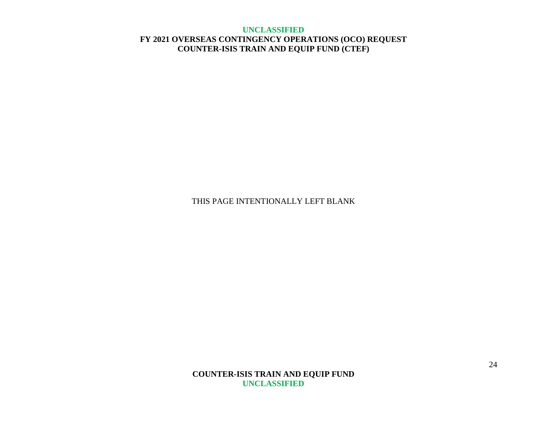#### **UNCLASSIFIED**

# **FY 2021 OVERSEAS CONTINGENCY OPERATIONS (OCO) REQUEST COUNTER-ISIS TRAIN AND EQUIP FUND (CTEF)**

## THIS PAGE INTENTIONALLY LEFT BLANK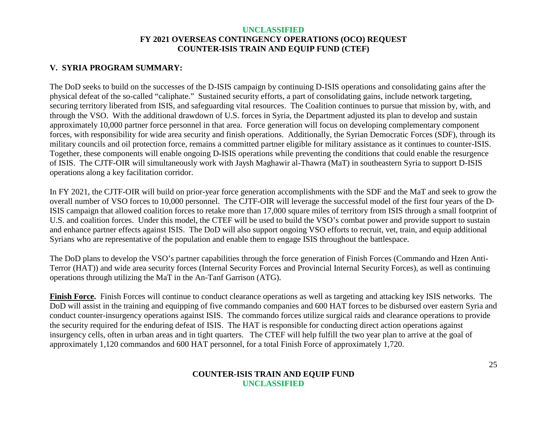## **V. SYRIA PROGRAM SUMMARY:**

The DoD seeks to build on the successes of the D-ISIS campaign by continuing D-ISIS operations and consolidating gains after the physical defeat of the so-called "caliphate." Sustained security efforts, a part of consolidating gains, include network targeting, securing territory liberated from ISIS, and safeguarding vital resources. The Coalition continues to pursue that mission by, with, and through the VSO. With the additional drawdown of U.S. forces in Syria, the Department adjusted its plan to develop and sustain approximately 10,000 partner force personnel in that area. Force generation will focus on developing complementary component forces, with responsibility for wide area security and finish operations. Additionally, the Syrian Democratic Forces (SDF), through its military councils and oil protection force, remains a committed partner eligible for military assistance as it continues to counter-ISIS. Together, these components will enable ongoing D-ISIS operations while preventing the conditions that could enable the resurgence of ISIS. The CJTF-OIR will simultaneously work with Jaysh Maghawir al-Thawra (MaT) in southeastern Syria to support D-ISIS operations along a key facilitation corridor.

In FY 2021, the CJTF-OIR will build on prior-year force generation accomplishments with the SDF and the MaT and seek to grow the overall number of VSO forces to 10,000 personnel. The CJTF-OIR will leverage the successful model of the first four years of the D-ISIS campaign that allowed coalition forces to retake more than 17,000 square miles of territory from ISIS through a small footprint of U.S. and coalition forces. Under this model, the CTEF will be used to build the VSO's combat power and provide support to sustain and enhance partner effects against ISIS. The DoD will also support ongoing VSO efforts to recruit, vet, train, and equip additional Syrians who are representative of the population and enable them to engage ISIS throughout the battlespace.

The DoD plans to develop the VSO's partner capabilities through the force generation of Finish Forces (Commando and Hzen Anti-Terror (HAT)) and wide area security forces (Internal Security Forces and Provincial Internal Security Forces), as well as continuing operations through utilizing the MaT in the An-Tanf Garrison (ATG).

**Finish Force.** Finish Forces will continue to conduct clearance operations as well as targeting and attacking key ISIS networks. The DoD will assist in the training and equipping of five commando companies and 600 HAT forces to be disbursed over eastern Syria and conduct counter-insurgency operations against ISIS. The commando forces utilize surgical raids and clearance operations to provide the security required for the enduring defeat of ISIS. The HAT is responsible for conducting direct action operations against insurgency cells, often in urban areas and in tight quarters. The CTEF will help fulfill the two year plan to arrive at the goal of approximately 1,120 commandos and 600 HAT personnel, for a total Finish Force of approximately 1,720.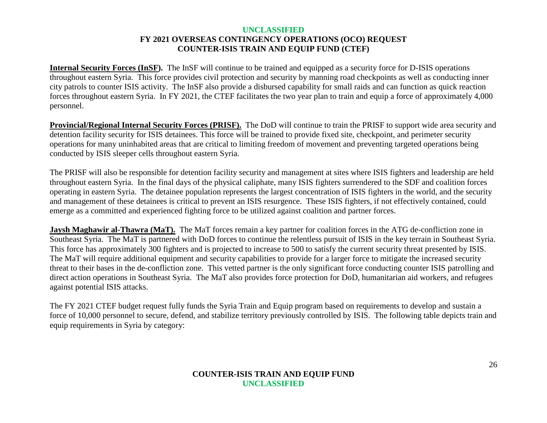**Internal Security Forces (InSF).** The InSF will continue to be trained and equipped as a security force for D-ISIS operations throughout eastern Syria. This force provides civil protection and security by manning road checkpoints as well as conducting inner city patrols to counter ISIS activity. The InSF also provide a disbursed capability for small raids and can function as quick reaction forces throughout eastern Syria. In FY 2021, the CTEF facilitates the two year plan to train and equip a force of approximately 4,000 personnel.

**Provincial/Regional Internal Security Forces (PRISF).** The DoD will continue to train the PRISF to support wide area security and detention facility security for ISIS detainees. This force will be trained to provide fixed site, checkpoint, and perimeter security operations for many uninhabited areas that are critical to limiting freedom of movement and preventing targeted operations being conducted by ISIS sleeper cells throughout eastern Syria.

The PRISF will also be responsible for detention facility security and management at sites where ISIS fighters and leadership are held throughout eastern Syria. In the final days of the physical caliphate, many ISIS fighters surrendered to the SDF and coalition forces operating in eastern Syria. The detainee population represents the largest concentration of ISIS fighters in the world, and the security and management of these detainees is critical to prevent an ISIS resurgence. These ISIS fighters, if not effectively contained, could emerge as a committed and experienced fighting force to be utilized against coalition and partner forces.

**Jaysh Maghawir al-Thawra (MaT).** The MaT forces remain a key partner for coalition forces in the ATG de-confliction zone in Southeast Syria. The MaT is partnered with DoD forces to continue the relentless pursuit of ISIS in the key terrain in Southeast Syria. This force has approximately 300 fighters and is projected to increase to 500 to satisfy the current security threat presented by ISIS. The MaT will require additional equipment and security capabilities to provide for a larger force to mitigate the increased security threat to their bases in the de-confliction zone. This vetted partner is the only significant force conducting counter ISIS patrolling and direct action operations in Southeast Syria. The MaT also provides force protection for DoD, humanitarian aid workers, and refugees against potential ISIS attacks.

The FY 2021 CTEF budget request fully funds the Syria Train and Equip program based on requirements to develop and sustain a force of 10,000 personnel to secure, defend, and stabilize territory previously controlled by ISIS. The following table depicts train and equip requirements in Syria by category: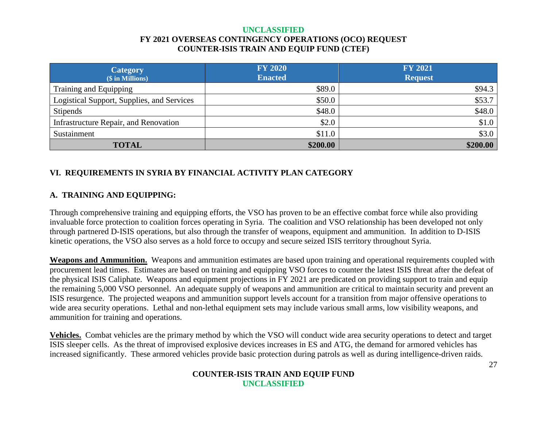| <b>Category</b><br>(\$ in Millions)        | <b>FY 2020</b><br><b>Enacted</b> | <b>FY 2021</b><br><b>Request</b> |
|--------------------------------------------|----------------------------------|----------------------------------|
| Training and Equipping                     | \$89.0                           | \$94.3                           |
| Logistical Support, Supplies, and Services | \$50.0                           | \$53.7                           |
| <b>Stipends</b>                            | \$48.0                           | \$48.0                           |
| Infrastructure Repair, and Renovation      | \$2.0                            | \$1.0                            |
| Sustainment                                | \$11.0                           | \$3.0                            |
| <b>TOTAL</b>                               | \$200.00                         | \$200.00                         |

## **VI. REQUIREMENTS IN SYRIA BY FINANCIAL ACTIVITY PLAN CATEGORY**

# **A. TRAINING AND EQUIPPING:**

Through comprehensive training and equipping efforts, the VSO has proven to be an effective combat force while also providing invaluable force protection to coalition forces operating in Syria. The coalition and VSO relationship has been developed not only through partnered D-ISIS operations, but also through the transfer of weapons, equipment and ammunition. In addition to D-ISIS kinetic operations, the VSO also serves as a hold force to occupy and secure seized ISIS territory throughout Syria.

**Weapons and Ammunition.** Weapons and ammunition estimates are based upon training and operational requirements coupled with procurement lead times. Estimates are based on training and equipping VSO forces to counter the latest ISIS threat after the defeat of the physical ISIS Caliphate. Weapons and equipment projections in FY 2021 are predicated on providing support to train and equip the remaining 5,000 VSO personnel. An adequate supply of weapons and ammunition are critical to maintain security and prevent an ISIS resurgence. The projected weapons and ammunition support levels account for a transition from major offensive operations to wide area security operations. Lethal and non-lethal equipment sets may include various small arms, low visibility weapons, and ammunition for training and operations.

**Vehicles.** Combat vehicles are the primary method by which the VSO will conduct wide area security operations to detect and target ISIS sleeper cells. As the threat of improvised explosive devices increases in ES and ATG, the demand for armored vehicles has increased significantly. These armored vehicles provide basic protection during patrols as well as during intelligence-driven raids.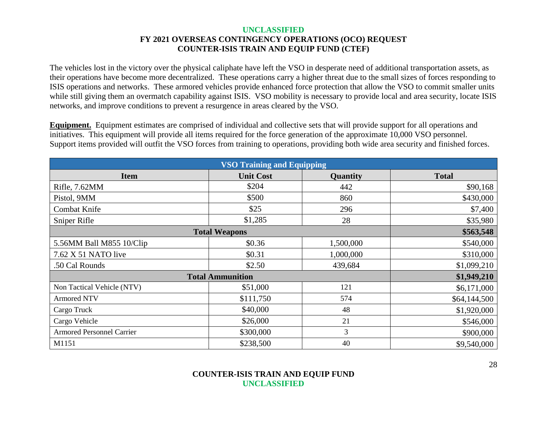The vehicles lost in the victory over the physical caliphate have left the VSO in desperate need of additional transportation assets, as their operations have become more decentralized. These operations carry a higher threat due to the small sizes of forces responding to ISIS operations and networks. These armored vehicles provide enhanced force protection that allow the VSO to commit smaller units while still giving them an overmatch capability against ISIS. VSO mobility is necessary to provide local and area security, locate ISIS networks, and improve conditions to prevent a resurgence in areas cleared by the VSO.

**Equipment.** Equipment estimates are comprised of individual and collective sets that will provide support for all operations and initiatives. This equipment will provide all items required for the force generation of the approximate 10,000 VSO personnel. Support items provided will outfit the VSO forces from training to operations, providing both wide area security and finished forces.

| <b>VSO Training and Equipping</b> |                      |                |              |  |  |
|-----------------------------------|----------------------|----------------|--------------|--|--|
| <b>Item</b>                       | <b>Unit Cost</b>     | Quantity       | <b>Total</b> |  |  |
| Rifle, 7.62MM                     | \$204                | 442            | \$90,168     |  |  |
| Pistol, 9MM                       | \$500                | 860            | \$430,000    |  |  |
| <b>Combat Knife</b>               | \$25                 | 296            | \$7,400      |  |  |
| Sniper Rifle                      | \$1,285              | 28             | \$35,980     |  |  |
|                                   | <b>Total Weapons</b> |                | \$563,548    |  |  |
| 5.56MM Ball M855 10/Clip          | \$0.36               | 1,500,000      | \$540,000    |  |  |
| 7.62 X 51 NATO live               | \$0.31               | 1,000,000      | \$310,000    |  |  |
| .50 Cal Rounds                    | \$2.50               | 439,684        | \$1,099,210  |  |  |
| <b>Total Ammunition</b>           |                      |                | \$1,949,210  |  |  |
| Non Tactical Vehicle (NTV)        | \$51,000             | 121            | \$6,171,000  |  |  |
| <b>Armored NTV</b>                | \$111,750            | 574            | \$64,144,500 |  |  |
| Cargo Truck                       | \$40,000             | 48             | \$1,920,000  |  |  |
| Cargo Vehicle                     | \$26,000             | 21             | \$546,000    |  |  |
| <b>Armored Personnel Carrier</b>  | \$300,000            | $\overline{3}$ | \$900,000    |  |  |
| M1151                             | \$238,500            | 40             | \$9,540,000  |  |  |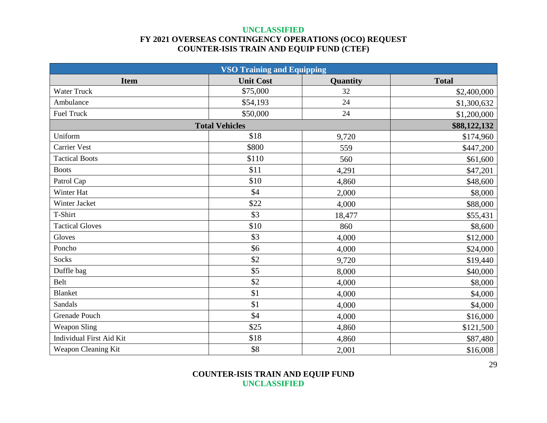| <b>VSO Training and Equipping</b> |                       |          |              |  |
|-----------------------------------|-----------------------|----------|--------------|--|
| <b>Item</b>                       | <b>Unit Cost</b>      | Quantity | <b>Total</b> |  |
| <b>Water Truck</b>                | \$75,000              | 32       | \$2,400,000  |  |
| Ambulance                         | \$54,193              | 24       | \$1,300,632  |  |
| <b>Fuel Truck</b>                 | \$50,000              | 24       | \$1,200,000  |  |
|                                   | <b>Total Vehicles</b> |          | \$88,122,132 |  |
| Uniform                           | \$18                  | 9,720    | \$174,960    |  |
| <b>Carrier Vest</b>               | \$800                 | 559      | \$447,200    |  |
| <b>Tactical Boots</b>             | \$110                 | 560      | \$61,600     |  |
| <b>Boots</b>                      | \$11                  | 4,291    | \$47,201     |  |
| Patrol Cap                        | \$10                  | 4,860    | \$48,600     |  |
| Winter Hat                        | \$4                   | 2,000    | \$8,000      |  |
| Winter Jacket                     | \$22                  | 4,000    | \$88,000     |  |
| T-Shirt                           | \$3                   | 18,477   | \$55,431     |  |
| <b>Tactical Gloves</b>            | \$10                  | 860      | \$8,600      |  |
| Gloves                            | \$3                   | 4,000    | \$12,000     |  |
| Poncho                            | \$6                   | 4,000    | \$24,000     |  |
| <b>Socks</b>                      | \$2                   | 9,720    | \$19,440     |  |
| Duffle bag                        | \$5                   | 8,000    | \$40,000     |  |
| Belt                              | \$2                   | 4,000    | \$8,000      |  |
| <b>Blanket</b>                    | \$1                   | 4,000    | \$4,000      |  |
| Sandals                           | \$1                   | 4,000    | \$4,000      |  |
| <b>Grenade Pouch</b>              | \$4                   | 4,000    | \$16,000     |  |
| <b>Weapon Sling</b>               | \$25                  | 4,860    | \$121,500    |  |
| <b>Individual First Aid Kit</b>   | \$18                  | 4,860    | \$87,480     |  |
| Weapon Cleaning Kit               | \$8                   | 2,001    | \$16,008     |  |

## **COUNTER-ISIS TRAIN AND EQUIP FUND UNCLASSIFIED**

29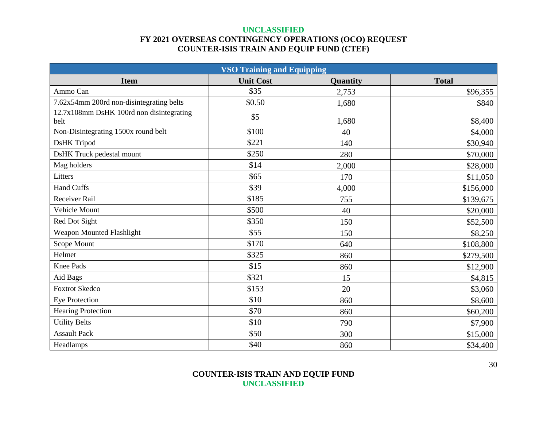| <b>VSO Training and Equipping</b>                |                  |          |              |  |
|--------------------------------------------------|------------------|----------|--------------|--|
| <b>Item</b>                                      | <b>Unit Cost</b> | Quantity | <b>Total</b> |  |
| Ammo Can                                         | \$35             | 2,753    | \$96,355     |  |
| 7.62x54mm 200rd non-disintegrating belts         | \$0.50           | 1,680    | \$840        |  |
| 12.7x108mm DsHK 100rd non disintegrating<br>belt | \$5              | 1,680    | \$8,400      |  |
| Non-Disintegrating 1500x round belt              | \$100            | 40       | \$4,000      |  |
| <b>DsHK</b> Tripod                               | \$221            | 140      | \$30,940     |  |
| <b>DsHK</b> Truck pedestal mount                 | \$250            | 280      | \$70,000     |  |
| Mag holders                                      | \$14             | 2,000    | \$28,000     |  |
| Litters                                          | \$65             | 170      | \$11,050     |  |
| <b>Hand Cuffs</b>                                | \$39             | 4,000    | \$156,000    |  |
| Receiver Rail                                    | \$185            | 755      | \$139,675    |  |
| Vehicle Mount                                    | \$500            | 40       | \$20,000     |  |
| Red Dot Sight                                    | \$350            | 150      | \$52,500     |  |
| Weapon Mounted Flashlight                        | \$55             | 150      | \$8,250      |  |
| Scope Mount                                      | \$170            | 640      | \$108,800    |  |
| Helmet                                           | \$325            | 860      | \$279,500    |  |
| <b>Knee Pads</b>                                 | \$15             | 860      | \$12,900     |  |
| Aid Bags                                         | \$321            | 15       | \$4,815      |  |
| <b>Foxtrot Skedco</b>                            | \$153            | 20       | \$3,060      |  |
| <b>Eye Protection</b>                            | \$10             | 860      | \$8,600      |  |
| <b>Hearing Protection</b>                        | \$70             | 860      | \$60,200     |  |
| <b>Utility Belts</b>                             | \$10             | 790      | \$7,900      |  |
| <b>Assault Pack</b>                              | \$50             | 300      | \$15,000     |  |
| Headlamps                                        | \$40             | 860      | \$34,400     |  |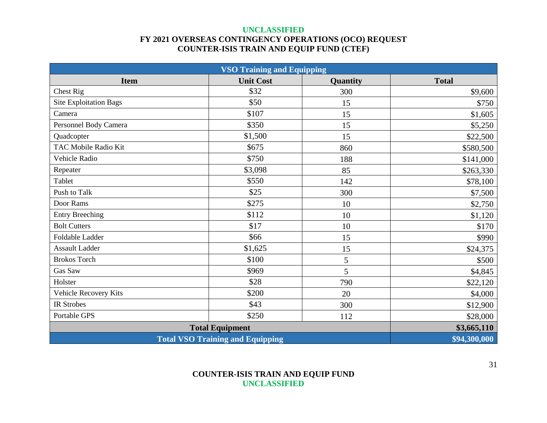| <b>VSO Training and Equipping</b> |                                         |          |              |  |
|-----------------------------------|-----------------------------------------|----------|--------------|--|
| <b>Item</b>                       | <b>Unit Cost</b>                        | Quantity | <b>Total</b> |  |
| Chest Rig                         | \$32                                    | 300      | \$9,600      |  |
| <b>Site Exploitation Bags</b>     | \$50                                    | 15       | \$750        |  |
| Camera                            | \$107                                   | 15       | \$1,605      |  |
| Personnel Body Camera             | \$350                                   | 15       | \$5,250      |  |
| Quadcopter                        | \$1,500                                 | 15       | \$22,500     |  |
| TAC Mobile Radio Kit              | \$675                                   | 860      | \$580,500    |  |
| Vehicle Radio                     | \$750                                   | 188      | \$141,000    |  |
| Repeater                          | \$3,098                                 | 85       | \$263,330    |  |
| Tablet                            | \$550                                   | 142      | \$78,100     |  |
| Push to Talk                      | \$25                                    | 300      | \$7,500      |  |
| Door Rams                         | \$275                                   | 10       | \$2,750      |  |
| <b>Entry Breeching</b>            | \$112                                   | 10       | \$1,120      |  |
| <b>Bolt Cutters</b>               | \$17                                    | 10       | \$170        |  |
| Foldable Ladder                   | \$66                                    | 15       | \$990        |  |
| <b>Assault Ladder</b>             | \$1,625                                 | 15       | \$24,375     |  |
| <b>Brokos Torch</b>               | \$100                                   | 5        | \$500        |  |
| Gas Saw                           | \$969                                   | 5        | \$4,845      |  |
| Holster                           | \$28                                    | 790      | \$22,120     |  |
| Vehicle Recovery Kits             | \$200                                   | 20       | \$4,000      |  |
| <b>IR Strobes</b>                 | \$43                                    | 300      | \$12,900     |  |
| Portable GPS                      | \$250                                   | 112      | \$28,000     |  |
|                                   | <b>Total Equipment</b>                  |          | \$3,665,110  |  |
|                                   | <b>Total VSO Training and Equipping</b> |          | \$94,300,000 |  |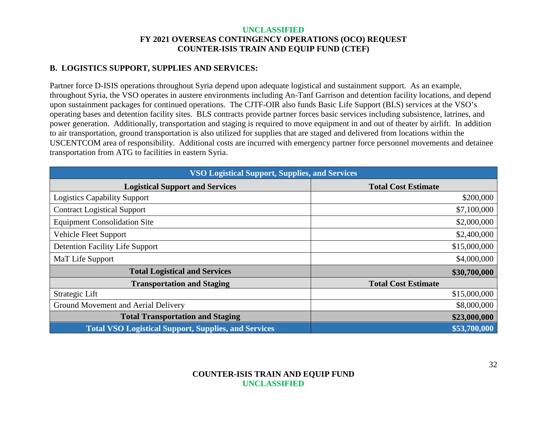# **B. LOGISTICS SUPPORT, SUPPLIES AND SERVICES:**

Partner force D-ISIS operations throughout Syria depend upon adequate logistical and sustainment support. As an example, throughout Syria, the VSO operates in austere environments including An-Tanf Garrison and detention facility locations, and depend upon sustainment packages for continued operations. The CJTF-OIR also funds Basic Life Support (BLS) services at the VSO's operating bases and detention facility sites. BLS contracts provide partner forces basic services including subsistence, latrines, and power generation. Additionally, transportation and staging is required to move equipment in and out of theater by airlift. In addition to air transportation, ground transportation is also utilized for supplies that are staged and delivered from locations within the USCENTCOM area of responsibility. Additional costs are incurred with emergency partner force personnel movements and detainee transportation from ATG to facilities in eastern Syria.

| <b>VSO Logistical Support, Supplies, and Services</b>       |                            |  |  |
|-------------------------------------------------------------|----------------------------|--|--|
| <b>Logistical Support and Services</b>                      | <b>Total Cost Estimate</b> |  |  |
| <b>Logistics Capability Support</b>                         | \$200,000                  |  |  |
| <b>Contract Logistical Support</b>                          | \$7,100,000                |  |  |
| <b>Equipment Consolidation Site</b>                         | \$2,000,000                |  |  |
| Vehicle Fleet Support                                       | \$2,400,000                |  |  |
| <b>Detention Facility Life Support</b>                      | \$15,000,000               |  |  |
| MaT Life Support                                            | \$4,000,000                |  |  |
| <b>Total Logistical and Services</b>                        | \$30,700,000               |  |  |
| <b>Transportation and Staging</b>                           | <b>Total Cost Estimate</b> |  |  |
| Strategic Lift                                              | \$15,000,000               |  |  |
| Ground Movement and Aerial Delivery                         | \$8,000,000                |  |  |
| <b>Total Transportation and Staging</b>                     | \$23,000,000               |  |  |
| <b>Total VSO Logistical Support, Supplies, and Services</b> | \$53,700,000               |  |  |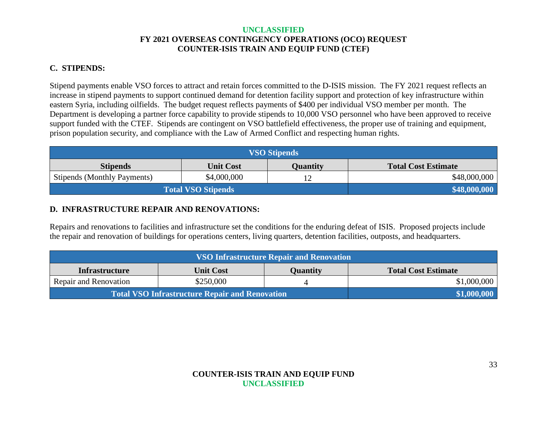# **C. STIPENDS:**

Stipend payments enable VSO forces to attract and retain forces committed to the D-ISIS mission. The FY 2021 request reflects an increase in stipend payments to support continued demand for detention facility support and protection of key infrastructure within eastern Syria, including oilfields. The budget request reflects payments of \$400 per individual VSO member per month. The Department is developing a partner force capability to provide stipends to 10,000 VSO personnel who have been approved to receive support funded with the CTEF. Stipends are contingent on VSO battlefield effectiveness, the proper use of training and equipment, prison population security, and compliance with the Law of Armed Conflict and respecting human rights.

| <b>VSO Stipends</b>                                                           |             |  |              |  |
|-------------------------------------------------------------------------------|-------------|--|--------------|--|
| <b>Unit Cost</b><br><b>Stipends</b><br><b>Total Cost Estimate</b><br>Quantity |             |  |              |  |
| <b>Stipends (Monthly Payments)</b>                                            | \$4,000,000 |  | \$48,000,000 |  |
| <b>Total VSO Stipends</b>                                                     |             |  | \$48,000,000 |  |

# **D. INFRASTRUCTURE REPAIR AND RENOVATIONS:**

Repairs and renovations to facilities and infrastructure set the conditions for the enduring defeat of ISIS. Proposed projects include the repair and renovation of buildings for operations centers, living quarters, detention facilities, outposts, and headquarters.

| VSO Infrastructure Repair and Renovation       |                  |                 |                            |  |
|------------------------------------------------|------------------|-----------------|----------------------------|--|
| <b>Infrastructure</b>                          | <b>Unit Cost</b> | <b>Quantity</b> | <b>Total Cost Estimate</b> |  |
| Repair and Renovation                          | \$250,000        |                 | \$1,000,000                |  |
| Total VSO Infrastructure Repair and Renovation |                  |                 | $\sqrt{1,000,000}$         |  |